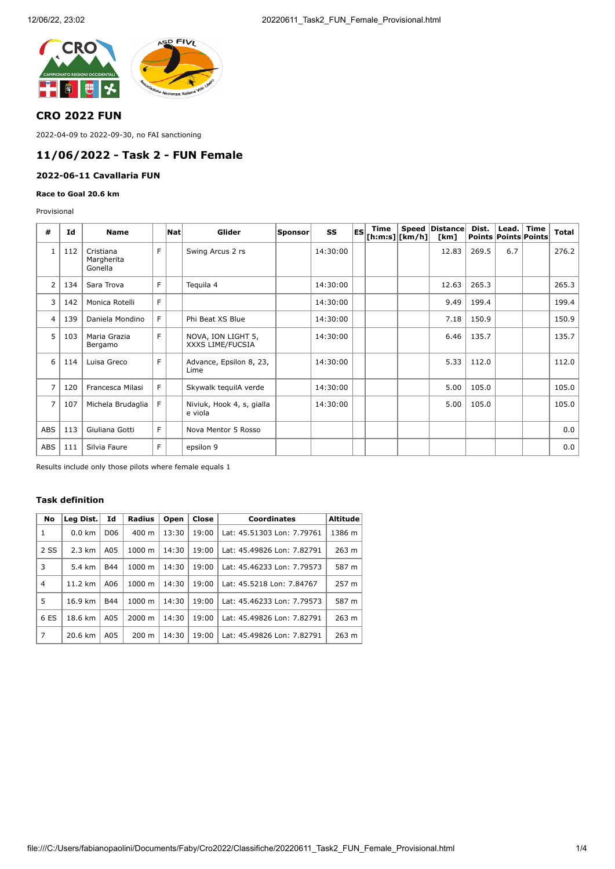

# **CRO 2022 FUN**

2022-04-09 to 2022-09-30, no FAI sanctioning

# **11/06/2022 - Task 2 - FUN Female**

### **2022-06-11 Cavallaria FUN**

**Race to Goal 20.6 km**

Provisional

| #              | Id  | <b>Name</b>                        |    | Nat | Glider                                 | Sponsor | SS       | ES | Time<br>$[h:m:s][km/h]]$ | <b>Speed Distance</b><br>[km] | Dist. | Lead. $\vert$ | Time<br>Points Points Points | <b>Total</b> |
|----------------|-----|------------------------------------|----|-----|----------------------------------------|---------|----------|----|--------------------------|-------------------------------|-------|---------------|------------------------------|--------------|
| 1              | 112 | Cristiana<br>Margherita<br>Gonella | F. |     | Swing Arcus 2 rs                       |         | 14:30:00 |    |                          | 12.83                         | 269.5 | 6.7           |                              | 276.2        |
| $\overline{2}$ | 134 | Sara Trova                         | F. |     | Teguila 4                              |         | 14:30:00 |    |                          | 12.63                         | 265.3 |               |                              | 265.3        |
| 3              | 142 | Monica Rotelli                     | F. |     |                                        |         | 14:30:00 |    |                          | 9.49                          | 199.4 |               |                              | 199.4        |
| $\overline{4}$ | 139 | Daniela Mondino                    | F. |     | Phi Beat XS Blue                       |         | 14:30:00 |    |                          | 7.18                          | 150.9 |               |                              | 150.9        |
| 5              | 103 | Maria Grazia<br>Bergamo            | F. |     | NOVA, ION LIGHT 5,<br>XXXS LIME/FUCSIA |         | 14:30:00 |    |                          | 6.46                          | 135.7 |               |                              | 135.7        |
| 6              | 114 | Luisa Greco                        | F  |     | Advance, Epsilon 8, 23,<br>Lime        |         | 14:30:00 |    |                          | 5.33                          | 112.0 |               |                              | 112.0        |
| 7              | 120 | Francesca Milasi                   | F. |     | Skywalk tequilA verde                  |         | 14:30:00 |    |                          | 5.00                          | 105.0 |               |                              | 105.0        |
| $\overline{7}$ | 107 | Michela Brudaglia                  | F. |     | Niviuk, Hook 4, s, gialla<br>e viola   |         | 14:30:00 |    |                          | 5.00                          | 105.0 |               |                              | 105.0        |
| <b>ABS</b>     | 113 | Giuliana Gotti                     | F. |     | Nova Mentor 5 Rosso                    |         |          |    |                          |                               |       |               |                              | 0.0          |
| ABS            | 111 | Silvia Faure                       | F  |     | epsilon 9                              |         |          |    |                          |                               |       |               |                              | 0.0          |

Results include only those pilots where female equals 1

### **Task definition**

| No           | Leg Dist.        | Id              | Radius          | Open  | Close | Coordinates                | <b>Altitude</b> |
|--------------|------------------|-----------------|-----------------|-------|-------|----------------------------|-----------------|
| $\mathbf{1}$ | $0.0 \text{ km}$ | D <sub>06</sub> | $400 \text{ m}$ | 13:30 | 19:00 | Lat: 45.51303 Lon: 7.79761 | 1386 m          |
| 2 SS         | $2.3 \text{ km}$ | A05             | $1000 \; m$     | 14:30 | 19:00 | Lat: 45.49826 Lon: 7.82791 | 263 m           |
| 3            | 5.4 km           | <b>B44</b>      | $1000 \; m$     | 14:30 | 19:00 | Lat: 45.46233 Lon: 7.79573 | 587 m           |
| 4            | 11.2 km          | A06             | $1000 \; m$     | 14:30 | 19:00 | Lat: 45.5218 Lon: 7.84767  | 257 m           |
| 5            | 16.9 km          | <b>B44</b>      | $1000 \; m$     | 14:30 | 19:00 | Lat: 45.46233 Lon: 7.79573 | 587 m           |
| 6 ES         | 18.6 km          | A05             | 2000 m          | 14:30 | 19:00 | Lat: 45.49826 Lon: 7.82791 | 263 m           |
| 7            | 20.6 km          | A05             | $200 \text{ m}$ | 14:30 | 19:00 | Lat: 45.49826 Lon: 7.82791 | 263 m           |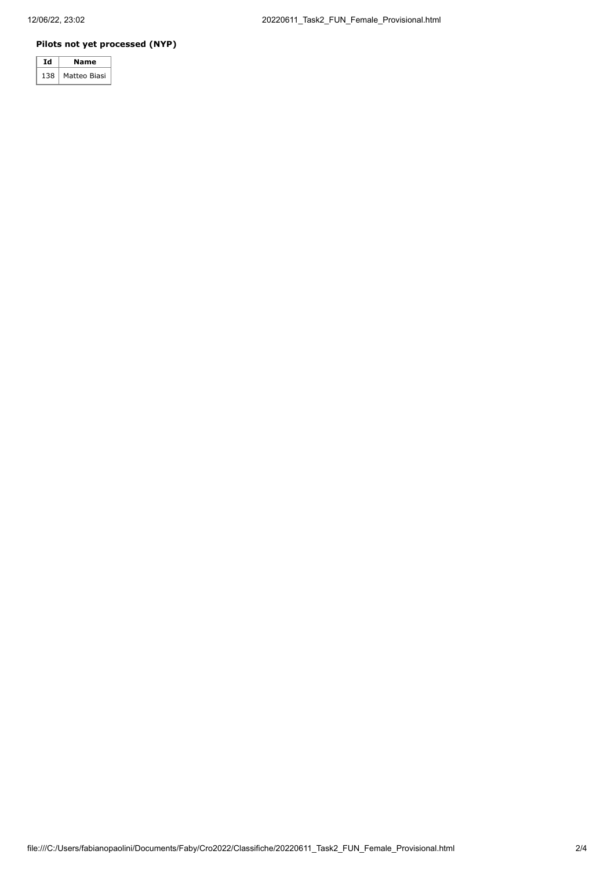### **Pilots not yet processed (NYP)**

|     | Name         |  |  |  |  |
|-----|--------------|--|--|--|--|
| 138 | Matteo Biasi |  |  |  |  |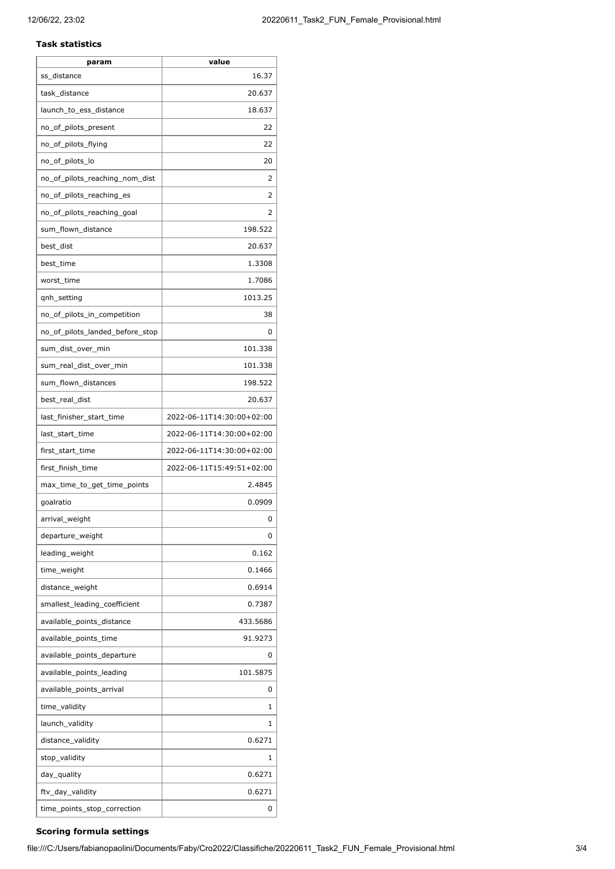#### **Task statistics**

| param                           | value                     |  |  |  |
|---------------------------------|---------------------------|--|--|--|
| ss_distance                     | 16.37                     |  |  |  |
| task_distance                   | 20.637                    |  |  |  |
| launch_to_ess_distance          | 18.637                    |  |  |  |
| no_of_pilots_present            | 22                        |  |  |  |
| no_of_pilots_flying             | 22                        |  |  |  |
| no_of_pilots_lo                 | 20                        |  |  |  |
| no_of_pilots_reaching_nom_dist  | 2                         |  |  |  |
| no_of_pilots_reaching_es        | 2                         |  |  |  |
| no_of_pilots_reaching_goal      | 2                         |  |  |  |
| sum_flown_distance              | 198.522                   |  |  |  |
| best_dist                       | 20.637                    |  |  |  |
| best time                       | 1.3308                    |  |  |  |
| worst_time                      | 1.7086                    |  |  |  |
| qnh_setting                     | 1013.25                   |  |  |  |
| no_of_pilots_in_competition     | 38                        |  |  |  |
| no_of_pilots_landed_before_stop | 0                         |  |  |  |
| sum_dist_over_min               | 101.338                   |  |  |  |
| sum_real_dist_over_min          | 101.338                   |  |  |  |
| sum_flown_distances             | 198.522                   |  |  |  |
| best_real_dist                  | 20.637                    |  |  |  |
| last_finisher_start_time        | 2022-06-11T14:30:00+02:00 |  |  |  |
| last_start_time                 | 2022-06-11T14:30:00+02:00 |  |  |  |
| first_start_time                | 2022-06-11T14:30:00+02:00 |  |  |  |
| first_finish_time               | 2022-06-11T15:49:51+02:00 |  |  |  |
| max_time_to_get_time_points     | 2.4845                    |  |  |  |
| goalratio                       | 0.0909                    |  |  |  |
| arrival_weight                  | 0                         |  |  |  |
| departure_weight                | 0                         |  |  |  |
| leading_weight                  | 0.162                     |  |  |  |
| time_weight                     | 0.1466                    |  |  |  |
| distance_weight                 | 0.6914                    |  |  |  |
| smallest leading coefficient    | 0.7387                    |  |  |  |
| available points distance       | 433.5686                  |  |  |  |
| available_points_time           | 91.9273                   |  |  |  |
| available_points_departure      | 0                         |  |  |  |
| available_points_leading        | 101.5875                  |  |  |  |
| available_points_arrival        | 0                         |  |  |  |
| time_validity                   | 1                         |  |  |  |
| launch_validity                 | 1                         |  |  |  |
| distance_validity               | 0.6271                    |  |  |  |
| stop_validity                   | 1                         |  |  |  |
| day_quality                     | 0.6271                    |  |  |  |
| ftv_day_validity                | 0.6271                    |  |  |  |
| time_points_stop_correction     | 0                         |  |  |  |
|                                 |                           |  |  |  |

### **Scoring formula settings**